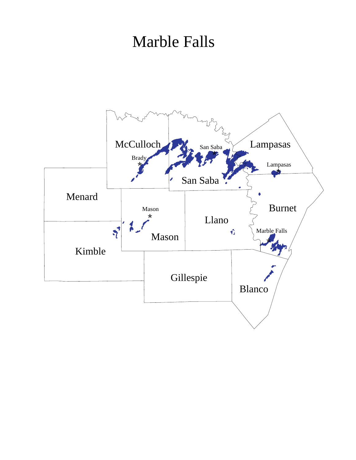## Marble Falls